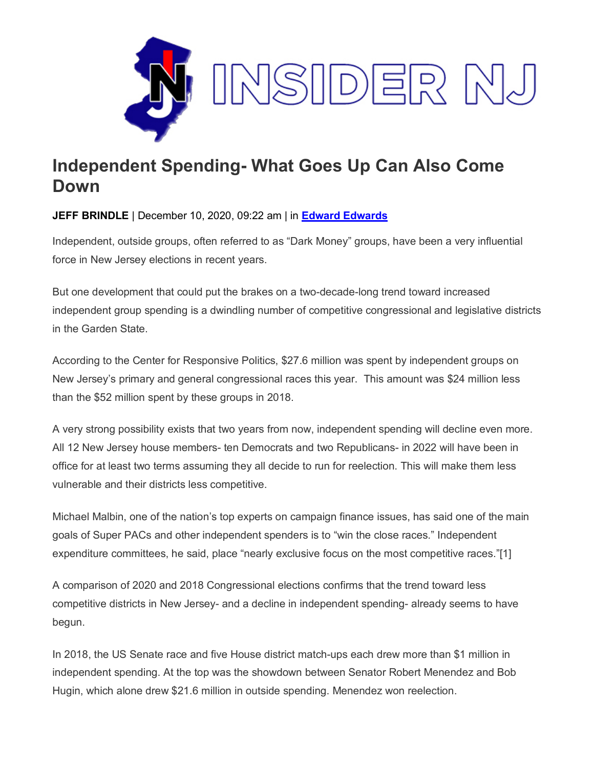

## **Independent Spending- What Goes Up Can Also Come Down**

**JEFF BRINDLE** | December 10, 2020, 09:22 am | in **Edward [Edwards](https://www.insidernj.com/category/edward-edwards/)**

Independent, outside groups, often referred to as "Dark Money" groups, have been a very influential force in New Jersey elections in recent years.

But one development that could put the brakes on a two-decade-long trend toward increased independent group spending is a dwindling number of competitive congressional and legislative districts in the Garden State.

According to the Center for Responsive Politics, \$27.6 million was spent by independent groups on New Jersey's primary and general congressional races this year. This amount was \$24 million less than the \$52 million spent by these groups in 2018.

A very strong possibility exists that two years from now, independent spending will decline even more. All 12 New Jersey house members- ten Democrats and two Republicans- in 2022 will have been in office for at least two terms assuming they all decide to run for reelection. This will make them less vulnerable and their districts less competitive.

Michael Malbin, one of the nation's top experts on campaign finance issues, has said one of the main goals of Super PACs and other independent spenders is to "win the close races." Independent expenditure committees, he said, place "nearly exclusive focus on the most competitive races."[1]

A comparison of 2020 and 2018 Congressional elections confirms that the trend toward less competitive districts in New Jersey- and a decline in independent spending- already seems to have begun.

In 2018, the US Senate race and five House district match-ups each drew more than \$1 million in independent spending. At the top was the showdown between Senator Robert Menendez and Bob Hugin, which alone drew \$21.6 million in outside spending. Menendez won reelection.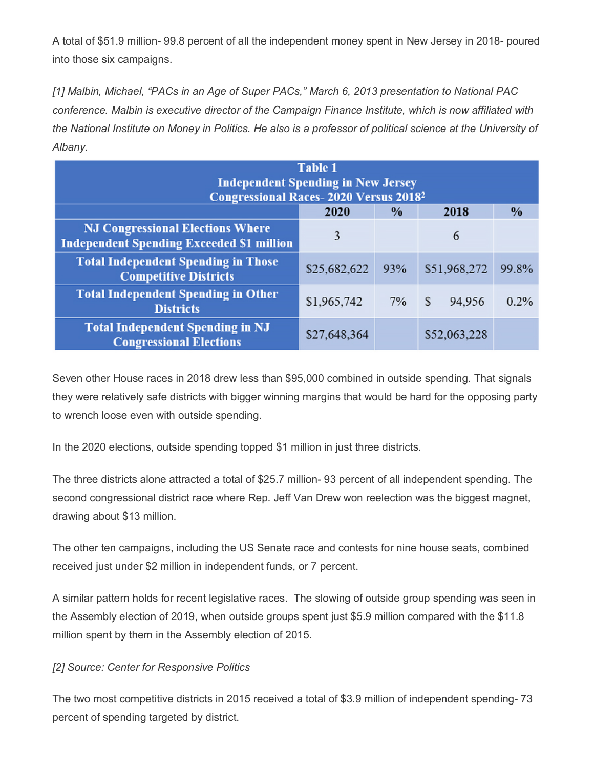A total of \$51.9 million- 99.8 percent of all the independent money spent in New Jersey in 2018- poured into those six campaigns.

*[1] Malbin, Michael, "PACs in an Age of Super PACs," March 6, 2013 presentation to National PAC conference. Malbin is executive director of the Campaign Finance Institute, which is now affiliated with the National Institute on Money in Politics. He also is a professor of political science at the University of Albany.*

| <b>Table 1</b><br><b>Independent Spending in New Jersey</b><br><b>Congressional Races-2020 Versus 2018<sup>2</sup></b> |              |               |                        |               |  |  |  |  |  |
|------------------------------------------------------------------------------------------------------------------------|--------------|---------------|------------------------|---------------|--|--|--|--|--|
|                                                                                                                        | 2020         | $\frac{0}{0}$ | 2018                   | $\frac{0}{0}$ |  |  |  |  |  |
| <b>NJ Congressional Elections Where</b><br><b>Independent Spending Exceeded \$1 million</b>                            | 3            |               | 6                      |               |  |  |  |  |  |
| <b>Total Independent Spending in Those</b><br><b>Competitive Districts</b>                                             | \$25,682,622 | 93%           | \$51,968,272           | 99.8%         |  |  |  |  |  |
| <b>Total Independent Spending in Other</b><br><b>Districts</b>                                                         | \$1,965,742  | $7\%$         | $\mathsf{S}$<br>94,956 | 0.2%          |  |  |  |  |  |
| <b>Total Independent Spending in NJ</b><br><b>Congressional Elections</b>                                              | \$27,648,364 |               | \$52,063,228           |               |  |  |  |  |  |

Seven other House races in 2018 drew less than \$95,000 combined in outside spending. That signals they were relatively safe districts with bigger winning margins that would be hard for the opposing party to wrench loose even with outside spending.

In the 2020 elections, outside spending topped \$1 million in just three districts.

The three districts alone attracted a total of \$25.7 million- 93 percent of all independent spending. The second congressional district race where Rep. Jeff Van Drew won reelection was the biggest magnet, drawing about \$13 million.

The other ten campaigns, including the US Senate race and contests for nine house seats, combined received just under \$2 million in independent funds, or 7 percent.

A similar pattern holds for recent legislative races. The slowing of outside group spending was seen in the Assembly election of 2019, when outside groups spent just \$5.9 million compared with the \$11.8 million spent by them in the Assembly election of 2015.

## *[2] Source: Center for Responsive Politics*

The two most competitive districts in 2015 received a total of \$3.9 million of independent spending- 73 percent of spending targeted by district.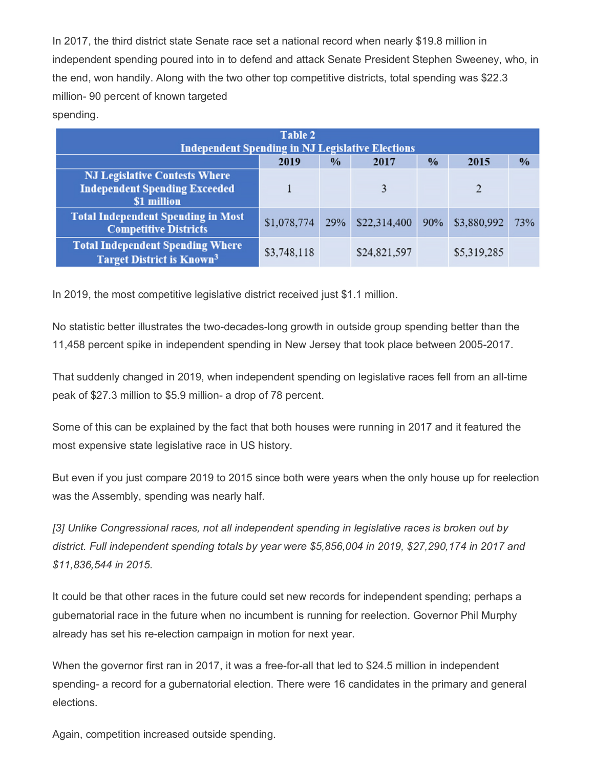In 2017, the third district state Senate race set a national record when nearly \$19.8 million in independent spending poured into in to defend and attack Senate President Stephen Sweeney, who, in the end, won handily. Along with the two other top competitive districts, total spending was \$22.3 million- 90 percent of known targeted spending.

| Table 2<br><b>Independent Spending in NJ Legislative Elections</b>                          |             |               |              |      |               |               |  |  |  |
|---------------------------------------------------------------------------------------------|-------------|---------------|--------------|------|---------------|---------------|--|--|--|
|                                                                                             | 2019        | $\frac{0}{0}$ | 2017         | $\%$ | 2015          | $\frac{0}{0}$ |  |  |  |
| <b>NJ Legislative Contests Where</b><br><b>Independent Spending Exceeded</b><br>\$1 million |             |               | 3            |      | $\mathcal{D}$ |               |  |  |  |
| <b>Total Independent Spending in Most</b><br><b>Competitive Districts</b>                   | \$1,078,774 | 29%           | \$22,314,400 | 90%  | \$3,880,992   | 73%           |  |  |  |
| <b>Total Independent Spending Where</b><br><b>Target District is Known<sup>3</sup></b>      | \$3,748,118 |               | \$24,821,597 |      | \$5,319,285   |               |  |  |  |

In 2019, the most competitive legislative district received just \$1.1 million.

No statistic better illustrates the two-decades-long growth in outside group spending better than the 11,458 percent spike in independent spending in New Jersey that took place between 2005-2017.

That suddenly changed in 2019, when independent spending on legislative races fell from an all-time peak of \$27.3 million to \$5.9 million- a drop of 78 percent.

Some of this can be explained by the fact that both houses were running in 2017 and it featured the most expensive state legislative race in US history.

But even if you just compare 2019 to 2015 since both were years when the only house up for reelection was the Assembly, spending was nearly half.

*[3] Unlike Congressional races, not all independent spending in legislative races is broken out by district. Full independent spending totals by year were \$5,856,004 in 2019, \$27,290,174 in 2017 and \$11,836,544 in 2015.*

It could be that other races in the future could set new records for independent spending; perhaps a gubernatorial race in the future when no incumbent is running for reelection. Governor Phil Murphy already has set his re-election campaign in motion for next year.

When the governor first ran in 2017, it was a free-for-all that led to \$24.5 million in independent spending- a record for a gubernatorial election. There were 16 candidates in the primary and general elections.

Again, competition increased outside spending.